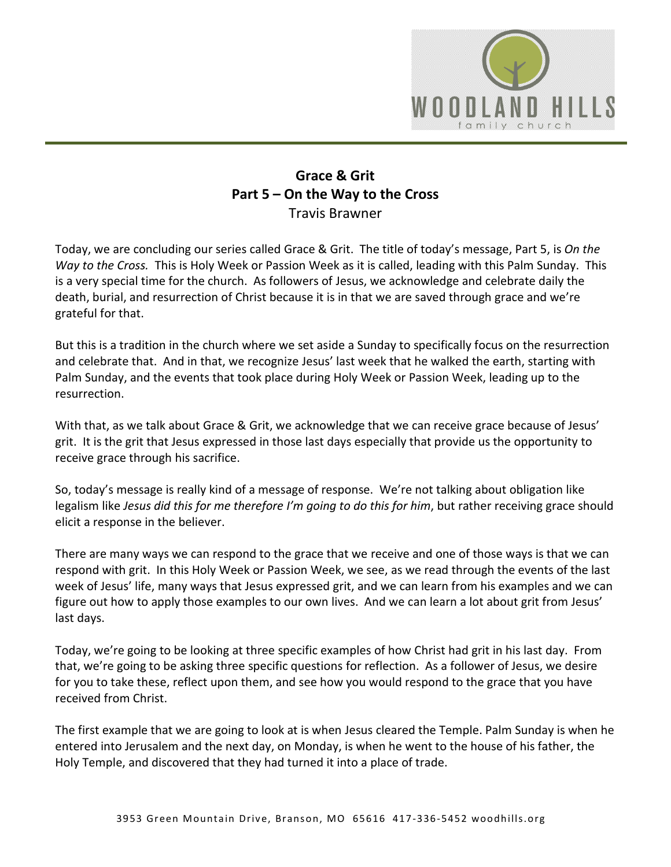

## **Grace & Grit Part 5 – On the Way to the Cross** Travis Brawner

Today, we are concluding our series called Grace & Grit. The title of today's message, Part 5, is *On the Way to the Cross.* This is Holy Week or Passion Week as it is called, leading with this Palm Sunday. This is a very special time for the church. As followers of Jesus, we acknowledge and celebrate daily the death, burial, and resurrection of Christ because it is in that we are saved through grace and we're grateful for that.

But this is a tradition in the church where we set aside a Sunday to specifically focus on the resurrection and celebrate that. And in that, we recognize Jesus' last week that he walked the earth, starting with Palm Sunday, and the events that took place during Holy Week or Passion Week, leading up to the resurrection.

With that, as we talk about Grace & Grit, we acknowledge that we can receive grace because of Jesus' grit. It is the grit that Jesus expressed in those last days especially that provide us the opportunity to receive grace through his sacrifice.

So, today's message is really kind of a message of response. We're not talking about obligation like legalism like *Jesus did this for me therefore I'm going to do this for him*, but rather receiving grace should elicit a response in the believer.

There are many ways we can respond to the grace that we receive and one of those ways is that we can respond with grit. In this Holy Week or Passion Week, we see, as we read through the events of the last week of Jesus' life, many ways that Jesus expressed grit, and we can learn from his examples and we can figure out how to apply those examples to our own lives. And we can learn a lot about grit from Jesus' last days.

Today, we're going to be looking at three specific examples of how Christ had grit in his last day. From that, we're going to be asking three specific questions for reflection. As a follower of Jesus, we desire for you to take these, reflect upon them, and see how you would respond to the grace that you have received from Christ.

The first example that we are going to look at is when Jesus cleared the Temple. Palm Sunday is when he entered into Jerusalem and the next day, on Monday, is when he went to the house of his father, the Holy Temple, and discovered that they had turned it into a place of trade.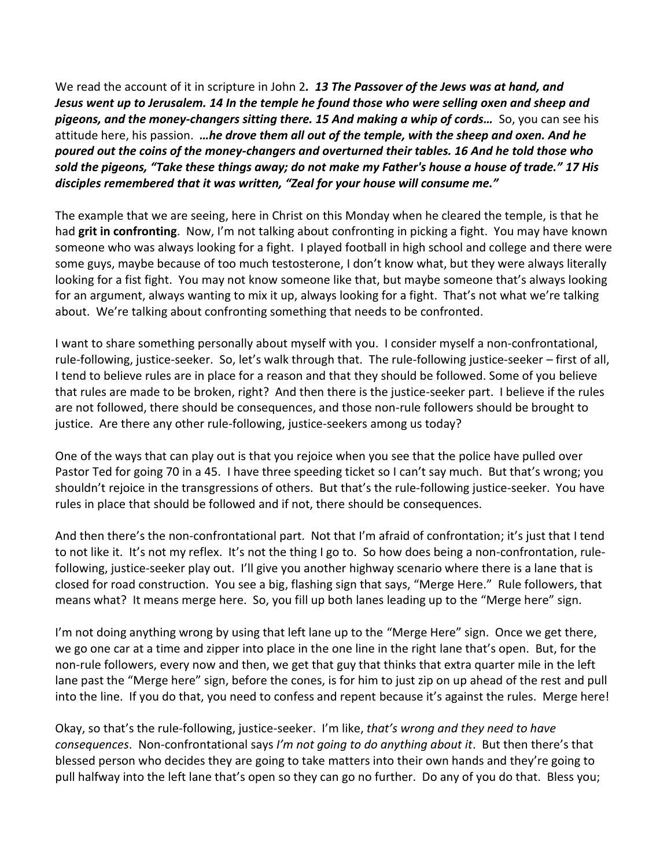We read the account of it in scripture in John 2*. 13 The Passover of the Jews was at hand, and Jesus went up to Jerusalem. 14 In the temple he found those who were selling oxen and sheep and pigeons, and the money-changers sitting there. 15 And making a whip of cords…* So, you can see his attitude here, his passion. *…he drove them all out of the temple, with the sheep and oxen. And he poured out the coins of the money-changers and overturned their tables. 16 And he told those who sold the pigeons, "Take these things away; do not make my Father's house a house of trade." 17 His disciples remembered that it was written, "Zeal for your house will consume me."*

The example that we are seeing, here in Christ on this Monday when he cleared the temple, is that he had **grit in confronting**. Now, I'm not talking about confronting in picking a fight. You may have known someone who was always looking for a fight. I played football in high school and college and there were some guys, maybe because of too much testosterone, I don't know what, but they were always literally looking for a fist fight. You may not know someone like that, but maybe someone that's always looking for an argument, always wanting to mix it up, always looking for a fight. That's not what we're talking about. We're talking about confronting something that needs to be confronted.

I want to share something personally about myself with you. I consider myself a non-confrontational, rule-following, justice-seeker. So, let's walk through that. The rule-following justice-seeker – first of all, I tend to believe rules are in place for a reason and that they should be followed. Some of you believe that rules are made to be broken, right? And then there is the justice-seeker part. I believe if the rules are not followed, there should be consequences, and those non-rule followers should be brought to justice. Are there any other rule-following, justice-seekers among us today?

One of the ways that can play out is that you rejoice when you see that the police have pulled over Pastor Ted for going 70 in a 45. I have three speeding ticket so I can't say much. But that's wrong; you shouldn't rejoice in the transgressions of others. But that's the rule-following justice-seeker. You have rules in place that should be followed and if not, there should be consequences.

And then there's the non-confrontational part. Not that I'm afraid of confrontation; it's just that I tend to not like it. It's not my reflex. It's not the thing I go to. So how does being a non-confrontation, rulefollowing, justice-seeker play out. I'll give you another highway scenario where there is a lane that is closed for road construction. You see a big, flashing sign that says, "Merge Here." Rule followers, that means what? It means merge here. So, you fill up both lanes leading up to the "Merge here" sign.

I'm not doing anything wrong by using that left lane up to the "Merge Here" sign. Once we get there, we go one car at a time and zipper into place in the one line in the right lane that's open. But, for the non-rule followers, every now and then, we get that guy that thinks that extra quarter mile in the left lane past the "Merge here" sign, before the cones, is for him to just zip on up ahead of the rest and pull into the line. If you do that, you need to confess and repent because it's against the rules. Merge here!

Okay, so that's the rule-following, justice-seeker. I'm like, *that's wrong and they need to have consequences*. Non-confrontational says *I'm not going to do anything about it*. But then there's that blessed person who decides they are going to take matters into their own hands and they're going to pull halfway into the left lane that's open so they can go no further. Do any of you do that. Bless you;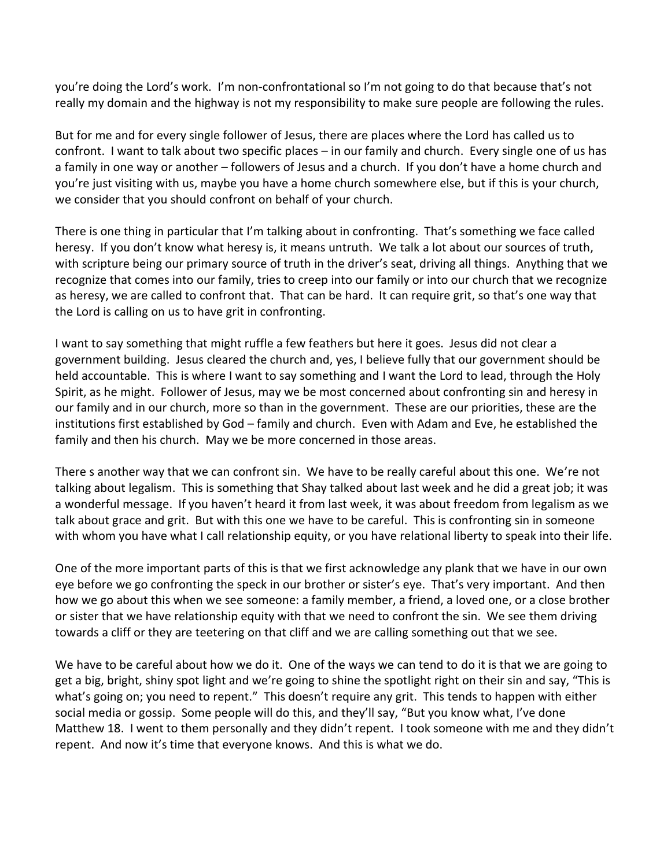you're doing the Lord's work. I'm non-confrontational so I'm not going to do that because that's not really my domain and the highway is not my responsibility to make sure people are following the rules.

But for me and for every single follower of Jesus, there are places where the Lord has called us to confront. I want to talk about two specific places – in our family and church. Every single one of us has a family in one way or another – followers of Jesus and a church. If you don't have a home church and you're just visiting with us, maybe you have a home church somewhere else, but if this is your church, we consider that you should confront on behalf of your church.

There is one thing in particular that I'm talking about in confronting. That's something we face called heresy. If you don't know what heresy is, it means untruth. We talk a lot about our sources of truth, with scripture being our primary source of truth in the driver's seat, driving all things. Anything that we recognize that comes into our family, tries to creep into our family or into our church that we recognize as heresy, we are called to confront that. That can be hard. It can require grit, so that's one way that the Lord is calling on us to have grit in confronting.

I want to say something that might ruffle a few feathers but here it goes. Jesus did not clear a government building. Jesus cleared the church and, yes, I believe fully that our government should be held accountable. This is where I want to say something and I want the Lord to lead, through the Holy Spirit, as he might. Follower of Jesus, may we be most concerned about confronting sin and heresy in our family and in our church, more so than in the government. These are our priorities, these are the institutions first established by God – family and church. Even with Adam and Eve, he established the family and then his church. May we be more concerned in those areas.

There s another way that we can confront sin. We have to be really careful about this one. We're not talking about legalism. This is something that Shay talked about last week and he did a great job; it was a wonderful message. If you haven't heard it from last week, it was about freedom from legalism as we talk about grace and grit. But with this one we have to be careful. This is confronting sin in someone with whom you have what I call relationship equity, or you have relational liberty to speak into their life.

One of the more important parts of this is that we first acknowledge any plank that we have in our own eye before we go confronting the speck in our brother or sister's eye. That's very important. And then how we go about this when we see someone: a family member, a friend, a loved one, or a close brother or sister that we have relationship equity with that we need to confront the sin. We see them driving towards a cliff or they are teetering on that cliff and we are calling something out that we see.

We have to be careful about how we do it. One of the ways we can tend to do it is that we are going to get a big, bright, shiny spot light and we're going to shine the spotlight right on their sin and say, "This is what's going on; you need to repent." This doesn't require any grit. This tends to happen with either social media or gossip. Some people will do this, and they'll say, "But you know what, I've done Matthew 18. I went to them personally and they didn't repent. I took someone with me and they didn't repent. And now it's time that everyone knows. And this is what we do.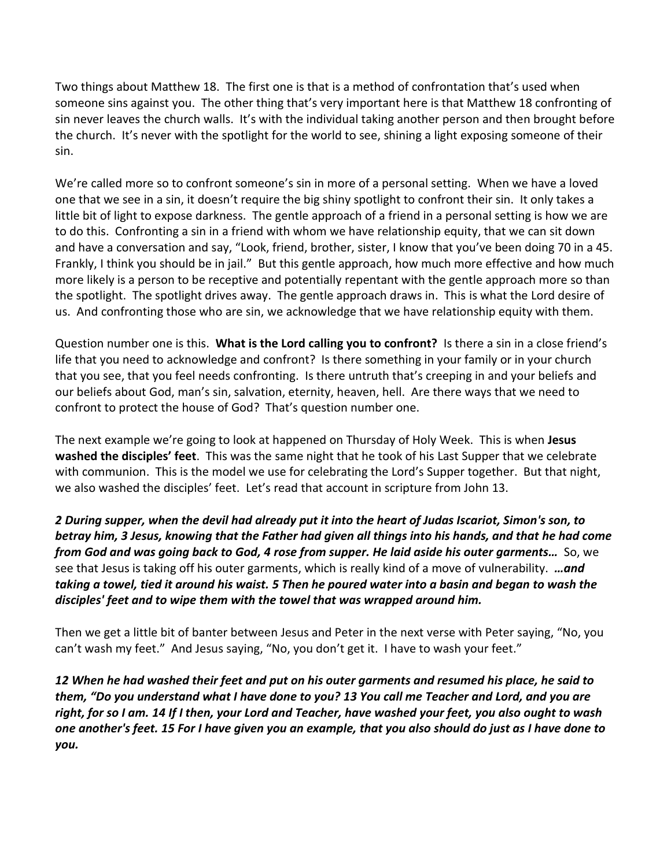Two things about Matthew 18. The first one is that is a method of confrontation that's used when someone sins against you. The other thing that's very important here is that Matthew 18 confronting of sin never leaves the church walls. It's with the individual taking another person and then brought before the church. It's never with the spotlight for the world to see, shining a light exposing someone of their sin.

We're called more so to confront someone's sin in more of a personal setting. When we have a loved one that we see in a sin, it doesn't require the big shiny spotlight to confront their sin. It only takes a little bit of light to expose darkness. The gentle approach of a friend in a personal setting is how we are to do this. Confronting a sin in a friend with whom we have relationship equity, that we can sit down and have a conversation and say, "Look, friend, brother, sister, I know that you've been doing 70 in a 45. Frankly, I think you should be in jail." But this gentle approach, how much more effective and how much more likely is a person to be receptive and potentially repentant with the gentle approach more so than the spotlight. The spotlight drives away. The gentle approach draws in. This is what the Lord desire of us. And confronting those who are sin, we acknowledge that we have relationship equity with them.

Question number one is this. **What is the Lord calling you to confront?** Is there a sin in a close friend's life that you need to acknowledge and confront? Is there something in your family or in your church that you see, that you feel needs confronting. Is there untruth that's creeping in and your beliefs and our beliefs about God, man's sin, salvation, eternity, heaven, hell. Are there ways that we need to confront to protect the house of God? That's question number one.

The next example we're going to look at happened on Thursday of Holy Week. This is when **Jesus washed the disciples' feet**. This was the same night that he took of his Last Supper that we celebrate with communion. This is the model we use for celebrating the Lord's Supper together. But that night, we also washed the disciples' feet. Let's read that account in scripture from John 13.

*2 During supper, when the devil had already put it into the heart of Judas Iscariot, Simon's son, to betray him, 3 Jesus, knowing that the Father had given all things into his hands, and that he had come from God and was going back to God, 4 rose from supper. He laid aside his outer garments…* So, we see that Jesus is taking off his outer garments, which is really kind of a move of vulnerability. *…and taking a towel, tied it around his waist. 5 Then he poured water into a basin and began to wash the disciples' feet and to wipe them with the towel that was wrapped around him.*

Then we get a little bit of banter between Jesus and Peter in the next verse with Peter saying, "No, you can't wash my feet." And Jesus saying, "No, you don't get it. I have to wash your feet."

*12 When he had washed their feet and put on his outer garments and resumed his place, he said to them, "Do you understand what I have done to you? 13 You call me Teacher and Lord, and you are right, for so I am. 14 If I then, your Lord and Teacher, have washed your feet, you also ought to wash one another's feet. 15 For I have given you an example, that you also should do just as I have done to you.*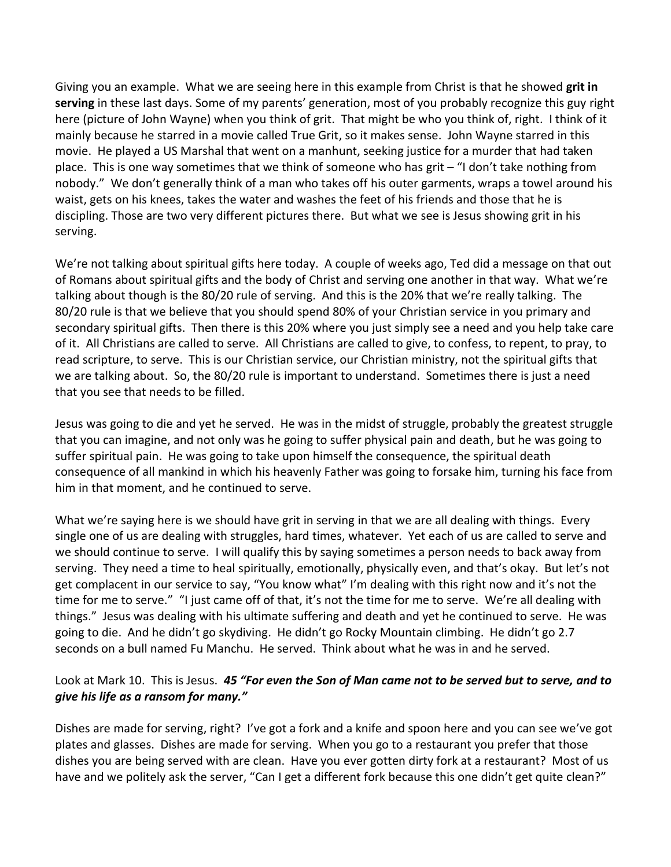Giving you an example. What we are seeing here in this example from Christ is that he showed **grit in serving** in these last days. Some of my parents' generation, most of you probably recognize this guy right here (picture of John Wayne) when you think of grit. That might be who you think of, right. I think of it mainly because he starred in a movie called True Grit, so it makes sense. John Wayne starred in this movie. He played a US Marshal that went on a manhunt, seeking justice for a murder that had taken place. This is one way sometimes that we think of someone who has grit – "I don't take nothing from nobody." We don't generally think of a man who takes off his outer garments, wraps a towel around his waist, gets on his knees, takes the water and washes the feet of his friends and those that he is discipling. Those are two very different pictures there. But what we see is Jesus showing grit in his serving.

We're not talking about spiritual gifts here today. A couple of weeks ago, Ted did a message on that out of Romans about spiritual gifts and the body of Christ and serving one another in that way. What we're talking about though is the 80/20 rule of serving. And this is the 20% that we're really talking. The 80/20 rule is that we believe that you should spend 80% of your Christian service in you primary and secondary spiritual gifts. Then there is this 20% where you just simply see a need and you help take care of it. All Christians are called to serve. All Christians are called to give, to confess, to repent, to pray, to read scripture, to serve. This is our Christian service, our Christian ministry, not the spiritual gifts that we are talking about. So, the 80/20 rule is important to understand. Sometimes there is just a need that you see that needs to be filled.

Jesus was going to die and yet he served. He was in the midst of struggle, probably the greatest struggle that you can imagine, and not only was he going to suffer physical pain and death, but he was going to suffer spiritual pain. He was going to take upon himself the consequence, the spiritual death consequence of all mankind in which his heavenly Father was going to forsake him, turning his face from him in that moment, and he continued to serve.

What we're saying here is we should have grit in serving in that we are all dealing with things. Every single one of us are dealing with struggles, hard times, whatever. Yet each of us are called to serve and we should continue to serve. I will qualify this by saying sometimes a person needs to back away from serving. They need a time to heal spiritually, emotionally, physically even, and that's okay. But let's not get complacent in our service to say, "You know what" I'm dealing with this right now and it's not the time for me to serve." "I just came off of that, it's not the time for me to serve. We're all dealing with things." Jesus was dealing with his ultimate suffering and death and yet he continued to serve. He was going to die. And he didn't go skydiving. He didn't go Rocky Mountain climbing. He didn't go 2.7 seconds on a bull named Fu Manchu. He served. Think about what he was in and he served.

## Look at Mark 10. This is Jesus. *45 "For even the Son of Man came not to be served but to serve, and to give his life as a ransom for many."*

Dishes are made for serving, right? I've got a fork and a knife and spoon here and you can see we've got plates and glasses. Dishes are made for serving. When you go to a restaurant you prefer that those dishes you are being served with are clean. Have you ever gotten dirty fork at a restaurant? Most of us have and we politely ask the server, "Can I get a different fork because this one didn't get quite clean?"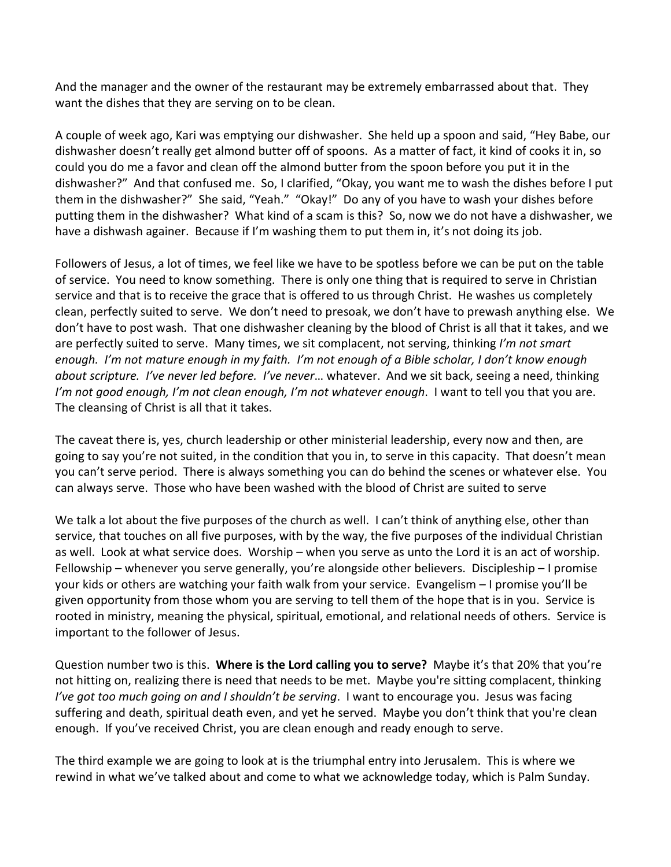And the manager and the owner of the restaurant may be extremely embarrassed about that. They want the dishes that they are serving on to be clean.

A couple of week ago, Kari was emptying our dishwasher. She held up a spoon and said, "Hey Babe, our dishwasher doesn't really get almond butter off of spoons. As a matter of fact, it kind of cooks it in, so could you do me a favor and clean off the almond butter from the spoon before you put it in the dishwasher?" And that confused me. So, I clarified, "Okay, you want me to wash the dishes before I put them in the dishwasher?" She said, "Yeah." "Okay!" Do any of you have to wash your dishes before putting them in the dishwasher? What kind of a scam is this? So, now we do not have a dishwasher, we have a dishwash againer. Because if I'm washing them to put them in, it's not doing its job.

Followers of Jesus, a lot of times, we feel like we have to be spotless before we can be put on the table of service. You need to know something. There is only one thing that is required to serve in Christian service and that is to receive the grace that is offered to us through Christ. He washes us completely clean, perfectly suited to serve. We don't need to presoak, we don't have to prewash anything else. We don't have to post wash. That one dishwasher cleaning by the blood of Christ is all that it takes, and we are perfectly suited to serve. Many times, we sit complacent, not serving, thinking *I'm not smart enough. I'm not mature enough in my faith. I'm not enough of a Bible scholar, I don't know enough about scripture. I've never led before. I've never*… whatever. And we sit back, seeing a need, thinking *I'm not good enough, I'm not clean enough, I'm not whatever enough*. I want to tell you that you are. The cleansing of Christ is all that it takes.

The caveat there is, yes, church leadership or other ministerial leadership, every now and then, are going to say you're not suited, in the condition that you in, to serve in this capacity. That doesn't mean you can't serve period. There is always something you can do behind the scenes or whatever else. You can always serve. Those who have been washed with the blood of Christ are suited to serve

We talk a lot about the five purposes of the church as well. I can't think of anything else, other than service, that touches on all five purposes, with by the way, the five purposes of the individual Christian as well. Look at what service does. Worship – when you serve as unto the Lord it is an act of worship. Fellowship – whenever you serve generally, you're alongside other believers. Discipleship – I promise your kids or others are watching your faith walk from your service. Evangelism – I promise you'll be given opportunity from those whom you are serving to tell them of the hope that is in you. Service is rooted in ministry, meaning the physical, spiritual, emotional, and relational needs of others. Service is important to the follower of Jesus.

Question number two is this. **Where is the Lord calling you to serve?** Maybe it's that 20% that you're not hitting on, realizing there is need that needs to be met. Maybe you're sitting complacent, thinking *I've got too much going on and I shouldn't be serving*. I want to encourage you. Jesus was facing suffering and death, spiritual death even, and yet he served. Maybe you don't think that you're clean enough. If you've received Christ, you are clean enough and ready enough to serve.

The third example we are going to look at is the triumphal entry into Jerusalem. This is where we rewind in what we've talked about and come to what we acknowledge today, which is Palm Sunday.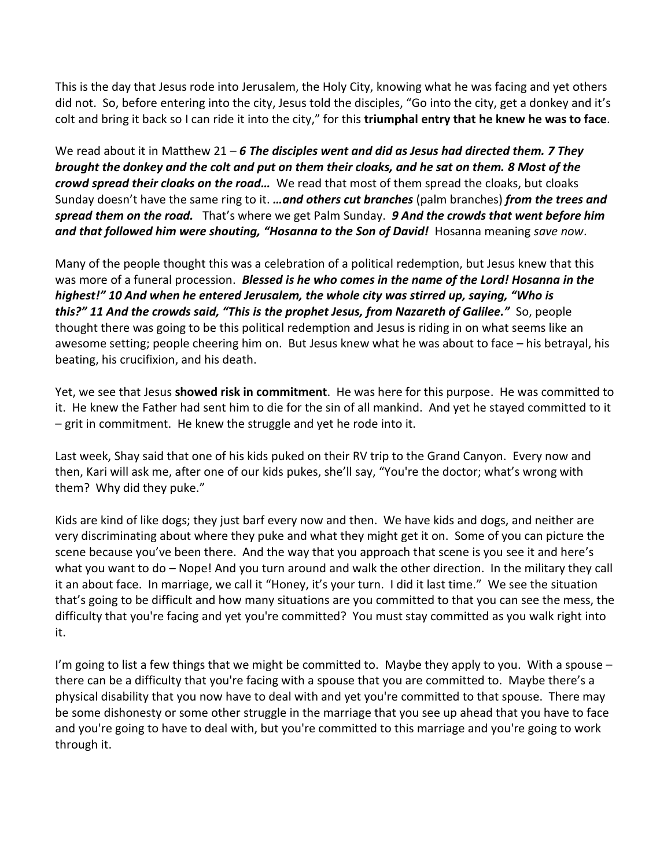This is the day that Jesus rode into Jerusalem, the Holy City, knowing what he was facing and yet others did not. So, before entering into the city, Jesus told the disciples, "Go into the city, get a donkey and it's colt and bring it back so I can ride it into the city," for this **triumphal entry that he knew he was to face**.

We read about it in Matthew 21 – *6 The disciples went and did as Jesus had directed them. 7 They brought the donkey and the colt and put on them their cloaks, and he sat on them. 8 Most of the crowd spread their cloaks on the road…* We read that most of them spread the cloaks, but cloaks Sunday doesn't have the same ring to it. *…and others cut branches* (palm branches) *from the trees and spread them on the road.* That's where we get Palm Sunday. *9 And the crowds that went before him and that followed him were shouting, "Hosanna to the Son of David!* Hosanna meaning *save now*.

Many of the people thought this was a celebration of a political redemption, but Jesus knew that this was more of a funeral procession. *Blessed is he who comes in the name of the Lord! Hosanna in the highest!" 10 And when he entered Jerusalem, the whole city was stirred up, saying, "Who is this?" 11 And the crowds said, "This is the prophet Jesus, from Nazareth of Galilee."* So, people thought there was going to be this political redemption and Jesus is riding in on what seems like an awesome setting; people cheering him on. But Jesus knew what he was about to face – his betrayal, his beating, his crucifixion, and his death.

Yet, we see that Jesus **showed risk in commitment**. He was here for this purpose. He was committed to it. He knew the Father had sent him to die for the sin of all mankind. And yet he stayed committed to it – grit in commitment. He knew the struggle and yet he rode into it.

Last week, Shay said that one of his kids puked on their RV trip to the Grand Canyon. Every now and then, Kari will ask me, after one of our kids pukes, she'll say, "You're the doctor; what's wrong with them? Why did they puke."

Kids are kind of like dogs; they just barf every now and then. We have kids and dogs, and neither are very discriminating about where they puke and what they might get it on. Some of you can picture the scene because you've been there. And the way that you approach that scene is you see it and here's what you want to do – Nope! And you turn around and walk the other direction. In the military they call it an about face. In marriage, we call it "Honey, it's your turn. I did it last time." We see the situation that's going to be difficult and how many situations are you committed to that you can see the mess, the difficulty that you're facing and yet you're committed? You must stay committed as you walk right into it.

I'm going to list a few things that we might be committed to. Maybe they apply to you. With a spouse  $$ there can be a difficulty that you're facing with a spouse that you are committed to. Maybe there's a physical disability that you now have to deal with and yet you're committed to that spouse. There may be some dishonesty or some other struggle in the marriage that you see up ahead that you have to face and you're going to have to deal with, but you're committed to this marriage and you're going to work through it.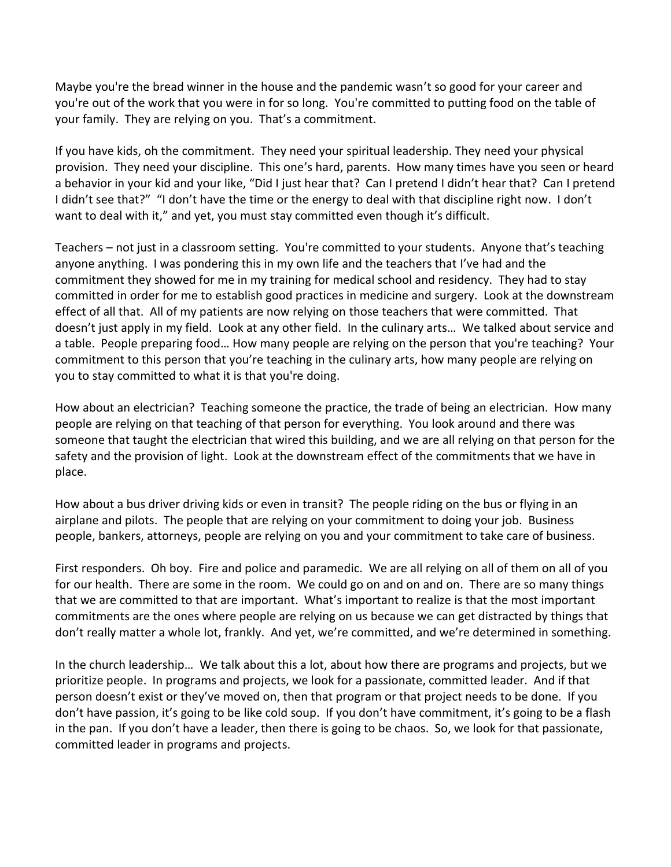Maybe you're the bread winner in the house and the pandemic wasn't so good for your career and you're out of the work that you were in for so long. You're committed to putting food on the table of your family. They are relying on you. That's a commitment.

If you have kids, oh the commitment. They need your spiritual leadership. They need your physical provision. They need your discipline. This one's hard, parents. How many times have you seen or heard a behavior in your kid and your like, "Did I just hear that? Can I pretend I didn't hear that? Can I pretend I didn't see that?" "I don't have the time or the energy to deal with that discipline right now. I don't want to deal with it," and yet, you must stay committed even though it's difficult.

Teachers – not just in a classroom setting. You're committed to your students. Anyone that's teaching anyone anything. I was pondering this in my own life and the teachers that I've had and the commitment they showed for me in my training for medical school and residency. They had to stay committed in order for me to establish good practices in medicine and surgery. Look at the downstream effect of all that. All of my patients are now relying on those teachers that were committed. That doesn't just apply in my field. Look at any other field. In the culinary arts… We talked about service and a table. People preparing food… How many people are relying on the person that you're teaching? Your commitment to this person that you're teaching in the culinary arts, how many people are relying on you to stay committed to what it is that you're doing.

How about an electrician? Teaching someone the practice, the trade of being an electrician. How many people are relying on that teaching of that person for everything. You look around and there was someone that taught the electrician that wired this building, and we are all relying on that person for the safety and the provision of light. Look at the downstream effect of the commitments that we have in place.

How about a bus driver driving kids or even in transit? The people riding on the bus or flying in an airplane and pilots. The people that are relying on your commitment to doing your job. Business people, bankers, attorneys, people are relying on you and your commitment to take care of business.

First responders. Oh boy. Fire and police and paramedic. We are all relying on all of them on all of you for our health. There are some in the room. We could go on and on and on. There are so many things that we are committed to that are important. What's important to realize is that the most important commitments are the ones where people are relying on us because we can get distracted by things that don't really matter a whole lot, frankly. And yet, we're committed, and we're determined in something.

In the church leadership… We talk about this a lot, about how there are programs and projects, but we prioritize people. In programs and projects, we look for a passionate, committed leader. And if that person doesn't exist or they've moved on, then that program or that project needs to be done. If you don't have passion, it's going to be like cold soup. If you don't have commitment, it's going to be a flash in the pan. If you don't have a leader, then there is going to be chaos. So, we look for that passionate, committed leader in programs and projects.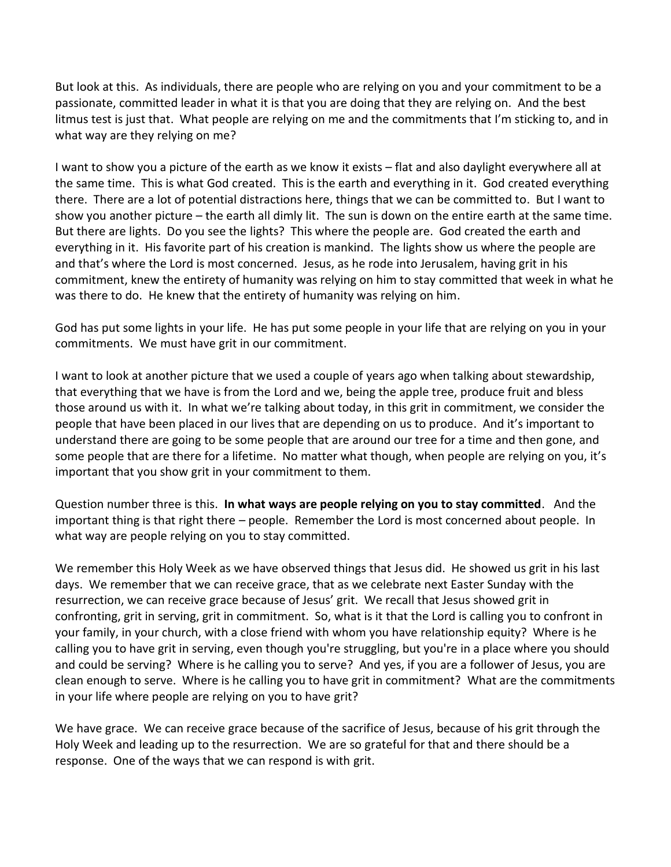But look at this. As individuals, there are people who are relying on you and your commitment to be a passionate, committed leader in what it is that you are doing that they are relying on. And the best litmus test is just that. What people are relying on me and the commitments that I'm sticking to, and in what way are they relying on me?

I want to show you a picture of the earth as we know it exists – flat and also daylight everywhere all at the same time. This is what God created. This is the earth and everything in it. God created everything there. There are a lot of potential distractions here, things that we can be committed to. But I want to show you another picture – the earth all dimly lit. The sun is down on the entire earth at the same time. But there are lights. Do you see the lights? This where the people are. God created the earth and everything in it. His favorite part of his creation is mankind. The lights show us where the people are and that's where the Lord is most concerned. Jesus, as he rode into Jerusalem, having grit in his commitment, knew the entirety of humanity was relying on him to stay committed that week in what he was there to do. He knew that the entirety of humanity was relying on him.

God has put some lights in your life. He has put some people in your life that are relying on you in your commitments. We must have grit in our commitment.

I want to look at another picture that we used a couple of years ago when talking about stewardship, that everything that we have is from the Lord and we, being the apple tree, produce fruit and bless those around us with it. In what we're talking about today, in this grit in commitment, we consider the people that have been placed in our lives that are depending on us to produce. And it's important to understand there are going to be some people that are around our tree for a time and then gone, and some people that are there for a lifetime. No matter what though, when people are relying on you, it's important that you show grit in your commitment to them.

Question number three is this. **In what ways are people relying on you to stay committed**. And the important thing is that right there – people. Remember the Lord is most concerned about people. In what way are people relying on you to stay committed.

We remember this Holy Week as we have observed things that Jesus did. He showed us grit in his last days. We remember that we can receive grace, that as we celebrate next Easter Sunday with the resurrection, we can receive grace because of Jesus' grit. We recall that Jesus showed grit in confronting, grit in serving, grit in commitment. So, what is it that the Lord is calling you to confront in your family, in your church, with a close friend with whom you have relationship equity? Where is he calling you to have grit in serving, even though you're struggling, but you're in a place where you should and could be serving? Where is he calling you to serve? And yes, if you are a follower of Jesus, you are clean enough to serve. Where is he calling you to have grit in commitment? What are the commitments in your life where people are relying on you to have grit?

We have grace. We can receive grace because of the sacrifice of Jesus, because of his grit through the Holy Week and leading up to the resurrection. We are so grateful for that and there should be a response. One of the ways that we can respond is with grit.